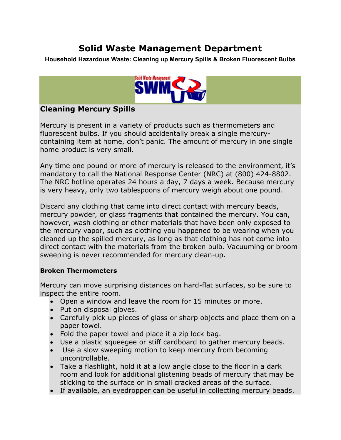## Solid Waste Management Department

Household Hazardous Waste: Cleaning up Mercury Spills & Broken Fluorescent Bulbs



## Cleaning Mercury Spills

Mercury is present in a variety of products such as thermometers and fluorescent bulbs. If you should accidentally break a single mercurycontaining item at home, don't panic. The amount of mercury in one single home product is very small.

Any time one pound or more of mercury is released to the environment, it's mandatory to call the National Response Center (NRC) at (800) 424-8802. The NRC hotline operates 24 hours a day, 7 days a week. Because mercury is very heavy, only two tablespoons of mercury weigh about one pound.

Discard any clothing that came into direct contact with mercury beads, mercury powder, or glass fragments that contained the mercury. You can, however, wash clothing or other materials that have been only exposed to the mercury vapor, such as clothing you happened to be wearing when you cleaned up the spilled mercury, as long as that clothing has not come into direct contact with the materials from the broken bulb. Vacuuming or broom sweeping is never recommended for mercury clean-up.

## Broken Thermometers

Mercury can move surprising distances on hard-flat surfaces, so be sure to inspect the entire room.

- Open a window and leave the room for 15 minutes or more.
- Put on disposal gloves.
- Carefully pick up pieces of glass or sharp objects and place them on a paper towel.
- Fold the paper towel and place it a zip lock bag.
- Use a plastic squeegee or stiff cardboard to gather mercury beads.
- Use a slow sweeping motion to keep mercury from becoming uncontrollable.
- Take a flashlight, hold it at a low angle close to the floor in a dark room and look for additional glistening beads of mercury that may be sticking to the surface or in small cracked areas of the surface.
- If available, an eyedropper can be useful in collecting mercury beads.